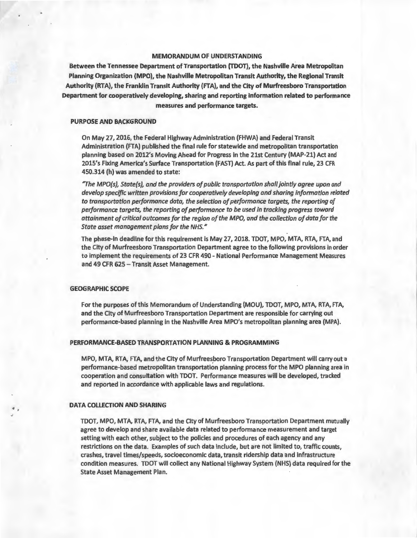## MEMORANDUM OF UNDERSTANDING

Between the Tennessee Department of Transportation (TOOT), the Nashville Area Metropolitan Planning Organization (MPO), the Nashville Metropolitan Transit Authority, the Regional Transit Authority (RTA), the Franklin Transit Authority (FTA), and the City of Murfreesboro Transportation Department for cooperatively developing, sharing and reporting information related to performance measures and performance targets.

#### PURPOSE AND BACKGROUND

On May 27, 2016, the Federal Highway Administration (FHWA) and Federal Transit Administration (FTA) published the final rule for statewide and metropolitan transportation planning based on 2012's Moving Ahead for Progress in the 21st Century (MAP-21) Act and 2015's Fixing America's Surface Transportation (FAST) Act. As part of this final rule, 23 CFR 450.314 (h) was amended to state:

*"The MPO(s), State(s), and the providers of public transportation shall jointly agree upon and develop specific written provisions for cooperatively developing and sharing information related*  to transportation performance data, the selection of performance targets, the reporting of *performance targets, the reporting of performance to be used in tracking progress toward attainment of critical outcomes for the region of the MPO, and the collection of data for the State asset management plans for the NHS."* 

The phase-in deadline for this requirement is May 27, 2018. TOOT, MPO, MTA, RTA, FTA, and the City of Murfreesboro Transportation Department agree to the following provisions in order to implement the requirements of 23 CFR 490 - National Performance Management Measures and 49 CFR 625 - Transit Asset Management.

#### GEOGRAPHIC SCOPE

For the purposes of this Memorandum of Understanding (MOU), TDOT, MPO, MTA, RTA, FTA, and the City of Murfreesboro Transportation Department are responsible for carrying out performance-based planning in the Nashville Area MPO's metropolitan planning area (MPA).

#### PERFORMANCE-BASED TRANSPORTATION PLANNING & PROGRAMMING

MPO, MTA, RTA, FTA, and the City of Murfreesboro Transportation Department will carry out a performance-based metropolitan transportation planning process for the MPO planning area in cooperation and consultation with TOOT. Performance measures will be developed, tracked and reported in accordance with applicable laws and regulations.

### DATA COLLECTION AND SHARING

TOOT, MPO, MTA, RTA, FTA, and the City of Murfreesboro Transportation Department mutually agree to develop and share available data related to performance measurement and target setting with each other, subject to the policies and procedures of each agency and any restrictions on the data. Examples of such data include, but are not limited to, traffic counts, crashes, travel times/speeds, socioeconomic data, transit ridership data and infrastructure condition measures. TOOT will collect any National Highway System (NHS) data required for the State Asset Management Plan.

J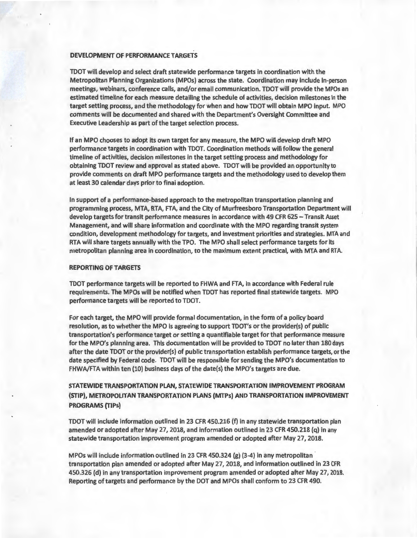## DEVELOPMENT OF PERFORMANCE TARGETS

TDOT will develop and select draft statewide performance targets in coordination with the Metropolitan Planning Organizations (MPOs) across the state. Coordination may include in-person meetings, webinars, conference calls, and/or email communication. TDOT will provide the MPOs an estimated timeline for each measure detailing the schedule of activities, decision milestones in the target setting process, and the methodology for when and how TDOT will obtain MPO input. MPO comments will be documented and shared with the Department's Oversight Committee and Executive Leadership as part of the target selection process.

If an MPO chooses to adopt its own target for any measure, the MPO will develop draft MPO performance targets in coordination with TOOT. Coordination methods will follow the general timeline of activities, decision milestones in the target setting process and methodology for obtaining TDOT review and approval as stated above. TDOT will be provided an opportunity to provide comments on draft MPO performance targets and the methodology used to develop them at least 30 calendar days prior to final adoption.

In support of a performance-based approach to the metropolitan transportation planning and programming process, MTA, RTA, FTA, and the City of Murfreesboro Transportation Department will develop targets for transit performance measures in accordance with 49 CFR 625 - Transit Asset Management, and will share information and coordinate with the MPO regarding transit system condition, development methodology for targets, and investment priorities and strategies. MTA and RTA will share targets annually with the TPO. The MPO shall select performance targets for its metropolitan planning area in coordination, to the maximum extent practical, with MTA and RTA.

#### REPORTING OF TARGETS

TDOT performance targets will be reported to FHWA and FTA, in accordance with Federal rule requirements. The MPOs will be notified when TDOT has reported final statewide targets. MPO performance targets will be reported to TOOT.

For each target, the MPO will provide formal documentation, in the form of a policy board resolution, as to whether the MPO is agreeing to support TDOT's or the provider(s) of public transportation's performance target or setting a quantifiable target for that performance measure for the MPO's planning area. This documentation will be provided to TOOT no later than 180 days after the date TOOT or the provider(s) of public transportation establish performance targets, or the date specified by Federal code. TOOT will be responsible for sending the MPO's documentation to FHWA/FTA within ten (10) business days of the date(s) the MPO's targets are due.

# STATEWIDE TRANSPORTATION PLAN, STATEWIDE TRANSPORTATION IMPROVEMENT PROGRAM (STIP), METROPOLITAN TRANSPORTATION PLANS (MTPs) AND TRANSPORTATION IMPROVEMENT PROGRAMS (TIPs)

TDOT will include information outlined in 23 CFR 450.216 (f) in any statewide transportation plan amended or adopted after May 27, 2018, and information outlined in 23 CFR 450.218 (q) in any statewide transportation improvement program amended or adopted after May 27, 2018.

MPOs will include information outlined in 23 CFR 450.324 (g) (3-4) in any metropolitan transportation plan amended or adopted after May 27, 2018, and information outlined in 23 CFR 450.326 (d) in any transportation improvement program amended or adopted after May 27, 2018. Reporting of targets and performance by the DOT and MPOs shall conform to 23 CFR 490.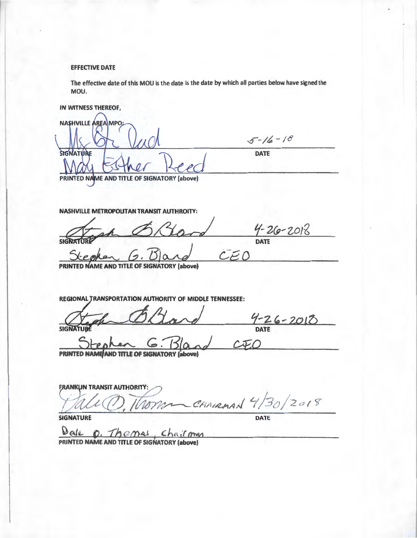# **EFFECTIVE DATE**

The effective date of this MOU is the date is the date by which all parties below have signed the MOU.

IN WITNESS THEREOF,

| NASHVILLE AREA MPO:                         |               |
|---------------------------------------------|---------------|
|                                             | $5 - 16 - 18$ |
| <b>SIGNATURE</b>                            | <b>DATE</b>   |
| DRINTED NAME AND TITLE OF SIGNATORY (above) |               |

NASHVILLE METROPOLITAN TRANSIT AUTHROITY:

Lard

 $4 - 26 - 2018$  $CEO$ 

(above) **TITLE OF SIGNATORY** 

REGIONAL TRANSPORTATION AUTHORITY OF MIDDLE TENNESSEE:

Oltare  $\frac{9-26-2018}{0000}$ SIGNATURE

 $G.130$ PRINTED NAME AND TITLE OF SIGNATORY (above)

**FRANKLIN TRANSIT AUTHORITI** Tomm CHAIRMAN 4/30/2018

**SIGNATURE** 

DATE

Date 0. Chairman  $\underline{\mathcal{P}^{c}}$  of  $\underline{\mathcal{P}^{c}}$ ,  $\underline{\mathcal{P}^{c}}$ ,  $\underline{\mathcal{P}^{c}}$ ,  $\underline{\mathcal{P}^{c}}$ ,  $\underline{\mathcal{P}^{c}}$ ,  $\underline{\mathcal{P}^{c}}$ ,  $\underline{\mathcal{P}^{c}}$ ,  $\underline{\mathcal{P}^{c}}$ ,  $\underline{\mathcal{P}^{c}}$ ,  $\underline{\mathcal{P}^{c}}$ ,  $\underline{\mathcal{P}^{c}}$ ,  $\underline{\mathcal{P}^{c}}$ ,  $\underline{\mathcal{P}^{$